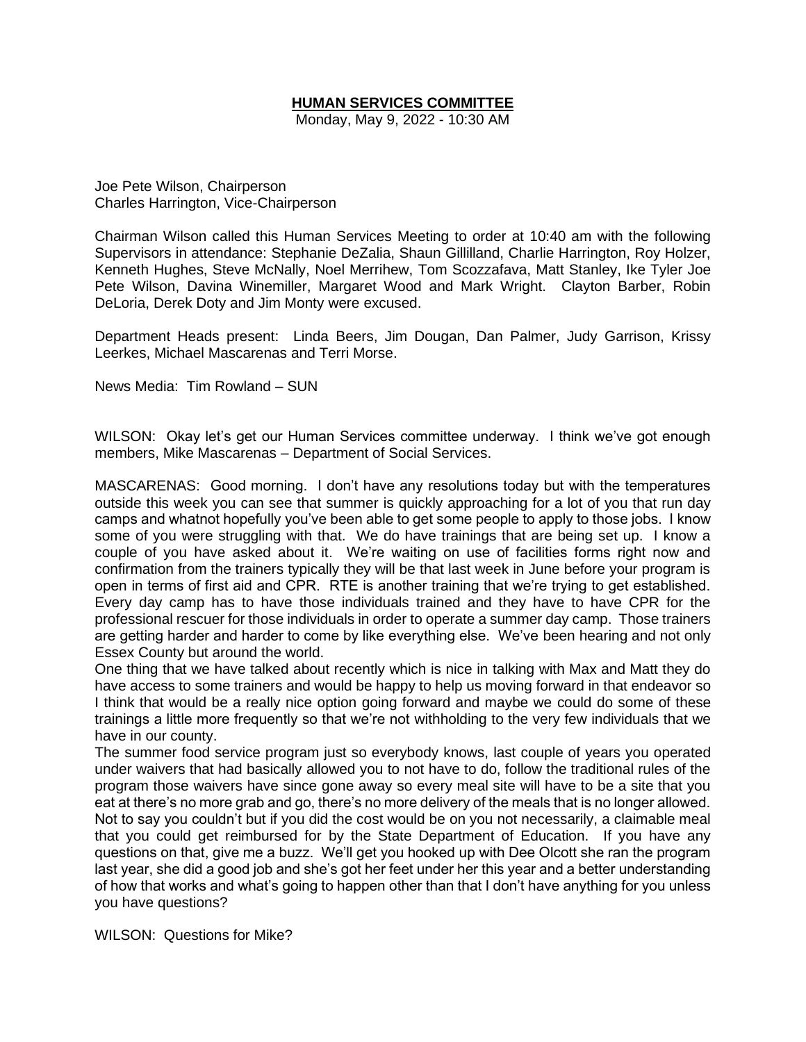# **HUMAN SERVICES COMMITTEE**

Monday, May 9, 2022 - 10:30 AM

Joe Pete Wilson, Chairperson Charles Harrington, Vice-Chairperson

Chairman Wilson called this Human Services Meeting to order at 10:40 am with the following Supervisors in attendance: Stephanie DeZalia, Shaun Gillilland, Charlie Harrington, Roy Holzer, Kenneth Hughes, Steve McNally, Noel Merrihew, Tom Scozzafava, Matt Stanley, Ike Tyler Joe Pete Wilson, Davina Winemiller, Margaret Wood and Mark Wright. Clayton Barber, Robin DeLoria, Derek Doty and Jim Monty were excused.

Department Heads present: Linda Beers, Jim Dougan, Dan Palmer, Judy Garrison, Krissy Leerkes, Michael Mascarenas and Terri Morse.

News Media: Tim Rowland – SUN

WILSON: Okay let's get our Human Services committee underway. I think we've got enough members, Mike Mascarenas – Department of Social Services.

MASCARENAS: Good morning. I don't have any resolutions today but with the temperatures outside this week you can see that summer is quickly approaching for a lot of you that run day camps and whatnot hopefully you've been able to get some people to apply to those jobs. I know some of you were struggling with that. We do have trainings that are being set up. I know a couple of you have asked about it. We're waiting on use of facilities forms right now and confirmation from the trainers typically they will be that last week in June before your program is open in terms of first aid and CPR. RTE is another training that we're trying to get established. Every day camp has to have those individuals trained and they have to have CPR for the professional rescuer for those individuals in order to operate a summer day camp. Those trainers are getting harder and harder to come by like everything else. We've been hearing and not only Essex County but around the world.

One thing that we have talked about recently which is nice in talking with Max and Matt they do have access to some trainers and would be happy to help us moving forward in that endeavor so I think that would be a really nice option going forward and maybe we could do some of these trainings a little more frequently so that we're not withholding to the very few individuals that we have in our county.

The summer food service program just so everybody knows, last couple of years you operated under waivers that had basically allowed you to not have to do, follow the traditional rules of the program those waivers have since gone away so every meal site will have to be a site that you eat at there's no more grab and go, there's no more delivery of the meals that is no longer allowed. Not to say you couldn't but if you did the cost would be on you not necessarily, a claimable meal that you could get reimbursed for by the State Department of Education. If you have any questions on that, give me a buzz. We'll get you hooked up with Dee Olcott she ran the program last year, she did a good job and she's got her feet under her this year and a better understanding of how that works and what's going to happen other than that I don't have anything for you unless you have questions?

WILSON: Questions for Mike?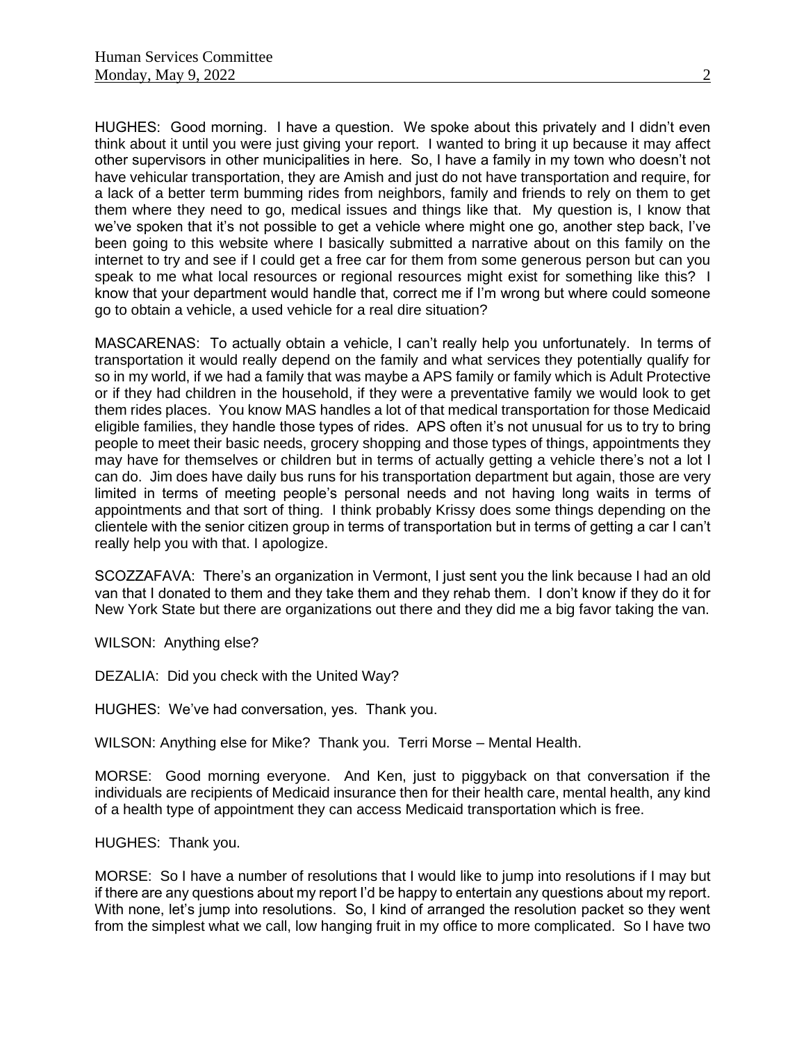HUGHES: Good morning. I have a question. We spoke about this privately and I didn't even think about it until you were just giving your report. I wanted to bring it up because it may affect other supervisors in other municipalities in here. So, I have a family in my town who doesn't not have vehicular transportation, they are Amish and just do not have transportation and require, for a lack of a better term bumming rides from neighbors, family and friends to rely on them to get them where they need to go, medical issues and things like that. My question is, I know that we've spoken that it's not possible to get a vehicle where might one go, another step back, I've been going to this website where I basically submitted a narrative about on this family on the internet to try and see if I could get a free car for them from some generous person but can you speak to me what local resources or regional resources might exist for something like this? I know that your department would handle that, correct me if I'm wrong but where could someone go to obtain a vehicle, a used vehicle for a real dire situation?

MASCARENAS: To actually obtain a vehicle, I can't really help you unfortunately. In terms of transportation it would really depend on the family and what services they potentially qualify for so in my world, if we had a family that was maybe a APS family or family which is Adult Protective or if they had children in the household, if they were a preventative family we would look to get them rides places. You know MAS handles a lot of that medical transportation for those Medicaid eligible families, they handle those types of rides. APS often it's not unusual for us to try to bring people to meet their basic needs, grocery shopping and those types of things, appointments they may have for themselves or children but in terms of actually getting a vehicle there's not a lot I can do. Jim does have daily bus runs for his transportation department but again, those are very limited in terms of meeting people's personal needs and not having long waits in terms of appointments and that sort of thing. I think probably Krissy does some things depending on the clientele with the senior citizen group in terms of transportation but in terms of getting a car I can't really help you with that. I apologize.

SCOZZAFAVA: There's an organization in Vermont, I just sent you the link because I had an old van that I donated to them and they take them and they rehab them. I don't know if they do it for New York State but there are organizations out there and they did me a big favor taking the van.

WILSON: Anything else?

DEZALIA: Did you check with the United Way?

HUGHES: We've had conversation, yes. Thank you.

WILSON: Anything else for Mike? Thank you. Terri Morse – Mental Health.

MORSE: Good morning everyone. And Ken, just to piggyback on that conversation if the individuals are recipients of Medicaid insurance then for their health care, mental health, any kind of a health type of appointment they can access Medicaid transportation which is free.

HUGHES: Thank you.

MORSE: So I have a number of resolutions that I would like to jump into resolutions if I may but if there are any questions about my report I'd be happy to entertain any questions about my report. With none, let's jump into resolutions. So, I kind of arranged the resolution packet so they went from the simplest what we call, low hanging fruit in my office to more complicated. So I have two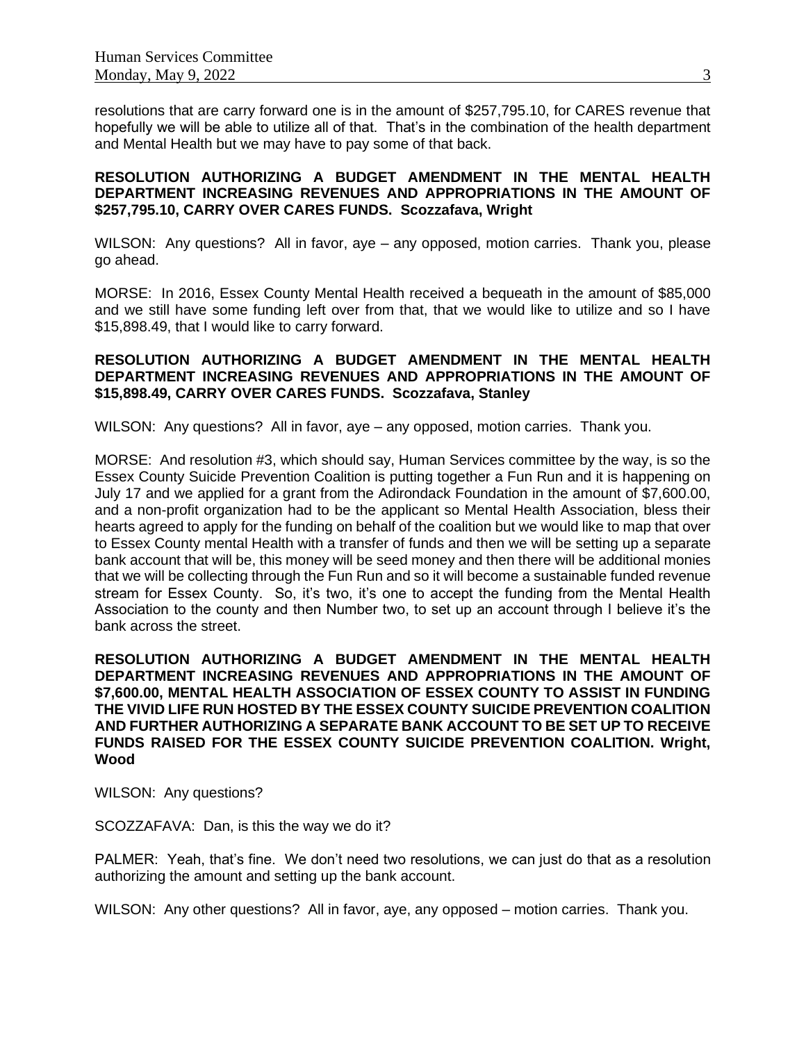resolutions that are carry forward one is in the amount of \$257,795.10, for CARES revenue that hopefully we will be able to utilize all of that. That's in the combination of the health department and Mental Health but we may have to pay some of that back.

#### **RESOLUTION AUTHORIZING A BUDGET AMENDMENT IN THE MENTAL HEALTH DEPARTMENT INCREASING REVENUES AND APPROPRIATIONS IN THE AMOUNT OF \$257,795.10, CARRY OVER CARES FUNDS. Scozzafava, Wright**

WILSON: Any questions? All in favor, aye – any opposed, motion carries. Thank you, please go ahead.

MORSE: In 2016, Essex County Mental Health received a bequeath in the amount of \$85,000 and we still have some funding left over from that, that we would like to utilize and so I have \$15,898.49, that I would like to carry forward.

## **RESOLUTION AUTHORIZING A BUDGET AMENDMENT IN THE MENTAL HEALTH DEPARTMENT INCREASING REVENUES AND APPROPRIATIONS IN THE AMOUNT OF \$15,898.49, CARRY OVER CARES FUNDS. Scozzafava, Stanley**

WILSON: Any questions? All in favor, aye – any opposed, motion carries. Thank you.

MORSE: And resolution #3, which should say, Human Services committee by the way, is so the Essex County Suicide Prevention Coalition is putting together a Fun Run and it is happening on July 17 and we applied for a grant from the Adirondack Foundation in the amount of \$7,600.00, and a non-profit organization had to be the applicant so Mental Health Association, bless their hearts agreed to apply for the funding on behalf of the coalition but we would like to map that over to Essex County mental Health with a transfer of funds and then we will be setting up a separate bank account that will be, this money will be seed money and then there will be additional monies that we will be collecting through the Fun Run and so it will become a sustainable funded revenue stream for Essex County. So, it's two, it's one to accept the funding from the Mental Health Association to the county and then Number two, to set up an account through I believe it's the bank across the street.

**RESOLUTION AUTHORIZING A BUDGET AMENDMENT IN THE MENTAL HEALTH DEPARTMENT INCREASING REVENUES AND APPROPRIATIONS IN THE AMOUNT OF \$7,600.00, MENTAL HEALTH ASSOCIATION OF ESSEX COUNTY TO ASSIST IN FUNDING THE VIVID LIFE RUN HOSTED BY THE ESSEX COUNTY SUICIDE PREVENTION COALITION AND FURTHER AUTHORIZING A SEPARATE BANK ACCOUNT TO BE SET UP TO RECEIVE FUNDS RAISED FOR THE ESSEX COUNTY SUICIDE PREVENTION COALITION. Wright, Wood**

WILSON: Any questions?

SCOZZAFAVA: Dan, is this the way we do it?

PALMER: Yeah, that's fine. We don't need two resolutions, we can just do that as a resolution authorizing the amount and setting up the bank account.

WILSON: Any other questions? All in favor, aye, any opposed – motion carries. Thank you.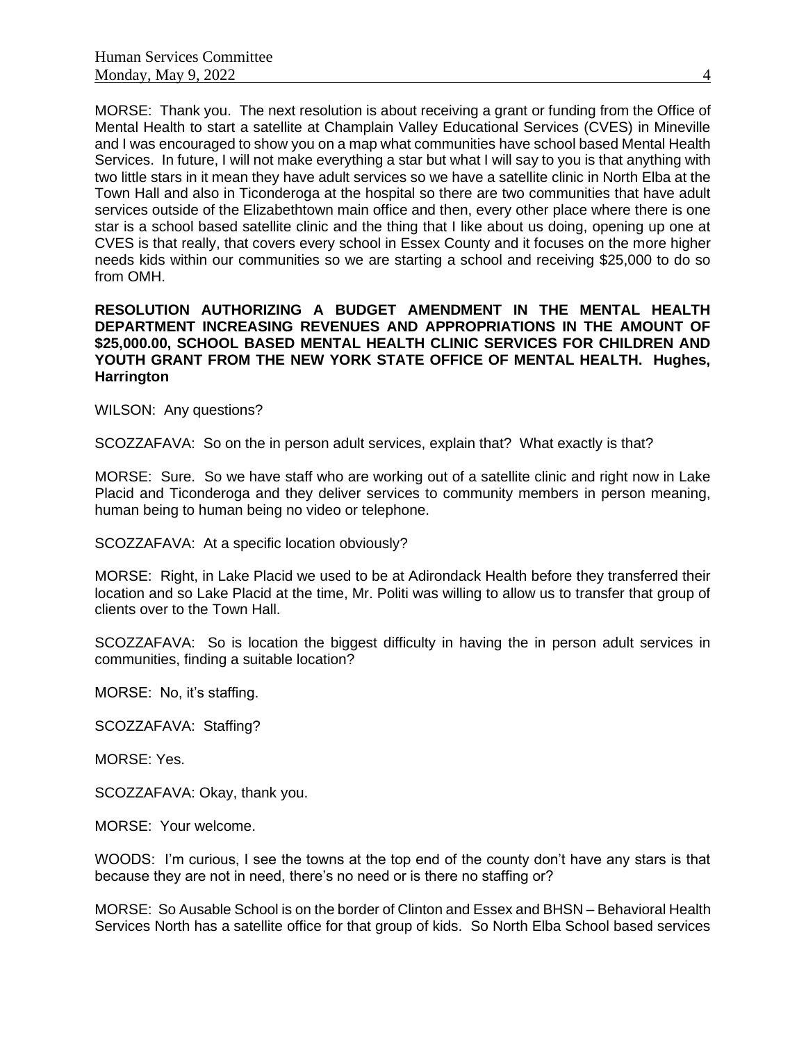MORSE: Thank you. The next resolution is about receiving a grant or funding from the Office of Mental Health to start a satellite at Champlain Valley Educational Services (CVES) in Mineville and I was encouraged to show you on a map what communities have school based Mental Health Services. In future, I will not make everything a star but what I will say to you is that anything with two little stars in it mean they have adult services so we have a satellite clinic in North Elba at the Town Hall and also in Ticonderoga at the hospital so there are two communities that have adult services outside of the Elizabethtown main office and then, every other place where there is one star is a school based satellite clinic and the thing that I like about us doing, opening up one at CVES is that really, that covers every school in Essex County and it focuses on the more higher needs kids within our communities so we are starting a school and receiving \$25,000 to do so from OMH.

#### **RESOLUTION AUTHORIZING A BUDGET AMENDMENT IN THE MENTAL HEALTH DEPARTMENT INCREASING REVENUES AND APPROPRIATIONS IN THE AMOUNT OF \$25,000.00, SCHOOL BASED MENTAL HEALTH CLINIC SERVICES FOR CHILDREN AND YOUTH GRANT FROM THE NEW YORK STATE OFFICE OF MENTAL HEALTH. Hughes, Harrington**

WILSON: Any questions?

SCOZZAFAVA: So on the in person adult services, explain that? What exactly is that?

MORSE: Sure. So we have staff who are working out of a satellite clinic and right now in Lake Placid and Ticonderoga and they deliver services to community members in person meaning, human being to human being no video or telephone.

SCOZZAFAVA: At a specific location obviously?

MORSE: Right, in Lake Placid we used to be at Adirondack Health before they transferred their location and so Lake Placid at the time, Mr. Politi was willing to allow us to transfer that group of clients over to the Town Hall.

SCOZZAFAVA: So is location the biggest difficulty in having the in person adult services in communities, finding a suitable location?

MORSE: No, it's staffing.

SCOZZAFAVA: Staffing?

MORSE: Yes.

SCOZZAFAVA: Okay, thank you.

MORSE: Your welcome.

WOODS: I'm curious, I see the towns at the top end of the county don't have any stars is that because they are not in need, there's no need or is there no staffing or?

MORSE: So Ausable School is on the border of Clinton and Essex and BHSN – Behavioral Health Services North has a satellite office for that group of kids. So North Elba School based services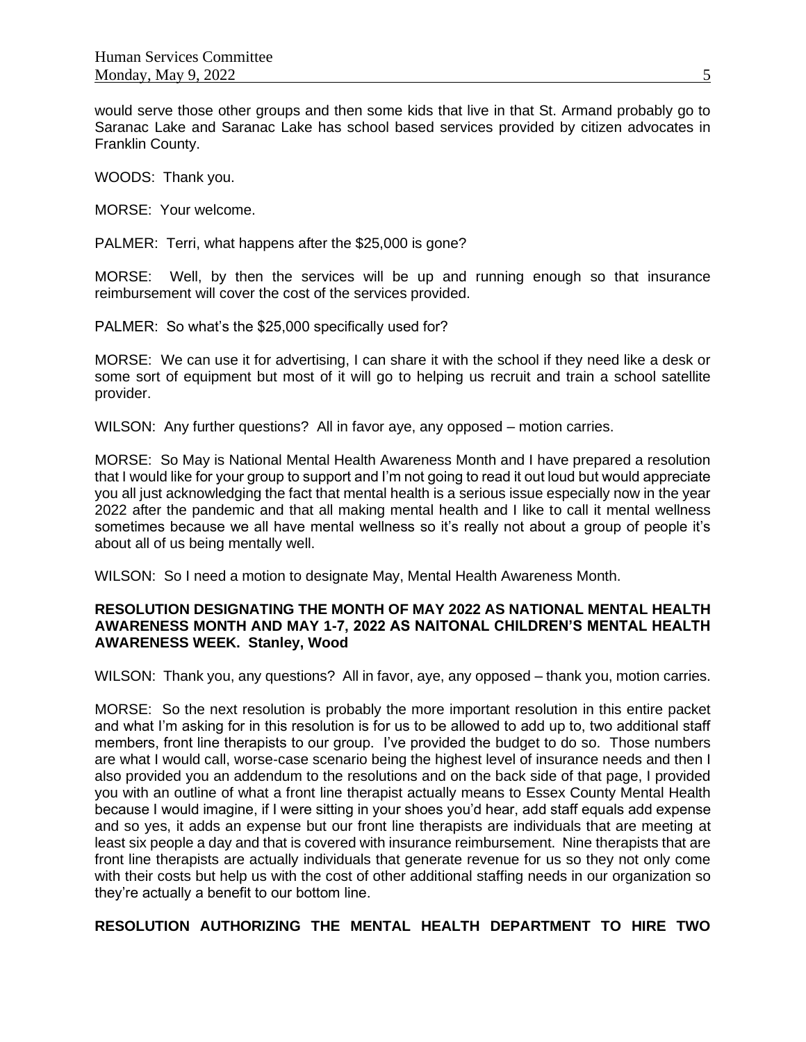would serve those other groups and then some kids that live in that St. Armand probably go to Saranac Lake and Saranac Lake has school based services provided by citizen advocates in Franklin County.

WOODS: Thank you.

MORSE: Your welcome.

PALMER: Terri, what happens after the \$25,000 is gone?

MORSE: Well, by then the services will be up and running enough so that insurance reimbursement will cover the cost of the services provided.

PALMER: So what's the \$25,000 specifically used for?

MORSE: We can use it for advertising, I can share it with the school if they need like a desk or some sort of equipment but most of it will go to helping us recruit and train a school satellite provider.

WILSON: Any further questions? All in favor aye, any opposed – motion carries.

MORSE: So May is National Mental Health Awareness Month and I have prepared a resolution that I would like for your group to support and I'm not going to read it out loud but would appreciate you all just acknowledging the fact that mental health is a serious issue especially now in the year 2022 after the pandemic and that all making mental health and I like to call it mental wellness sometimes because we all have mental wellness so it's really not about a group of people it's about all of us being mentally well.

WILSON: So I need a motion to designate May, Mental Health Awareness Month.

# **RESOLUTION DESIGNATING THE MONTH OF MAY 2022 AS NATIONAL MENTAL HEALTH AWARENESS MONTH AND MAY 1-7, 2022 AS NAITONAL CHILDREN'S MENTAL HEALTH AWARENESS WEEK. Stanley, Wood**

WILSON: Thank you, any questions? All in favor, aye, any opposed – thank you, motion carries.

MORSE: So the next resolution is probably the more important resolution in this entire packet and what I'm asking for in this resolution is for us to be allowed to add up to, two additional staff members, front line therapists to our group. I've provided the budget to do so. Those numbers are what I would call, worse-case scenario being the highest level of insurance needs and then I also provided you an addendum to the resolutions and on the back side of that page, I provided you with an outline of what a front line therapist actually means to Essex County Mental Health because I would imagine, if I were sitting in your shoes you'd hear, add staff equals add expense and so yes, it adds an expense but our front line therapists are individuals that are meeting at least six people a day and that is covered with insurance reimbursement. Nine therapists that are front line therapists are actually individuals that generate revenue for us so they not only come with their costs but help us with the cost of other additional staffing needs in our organization so they're actually a benefit to our bottom line.

**RESOLUTION AUTHORIZING THE MENTAL HEALTH DEPARTMENT TO HIRE TWO**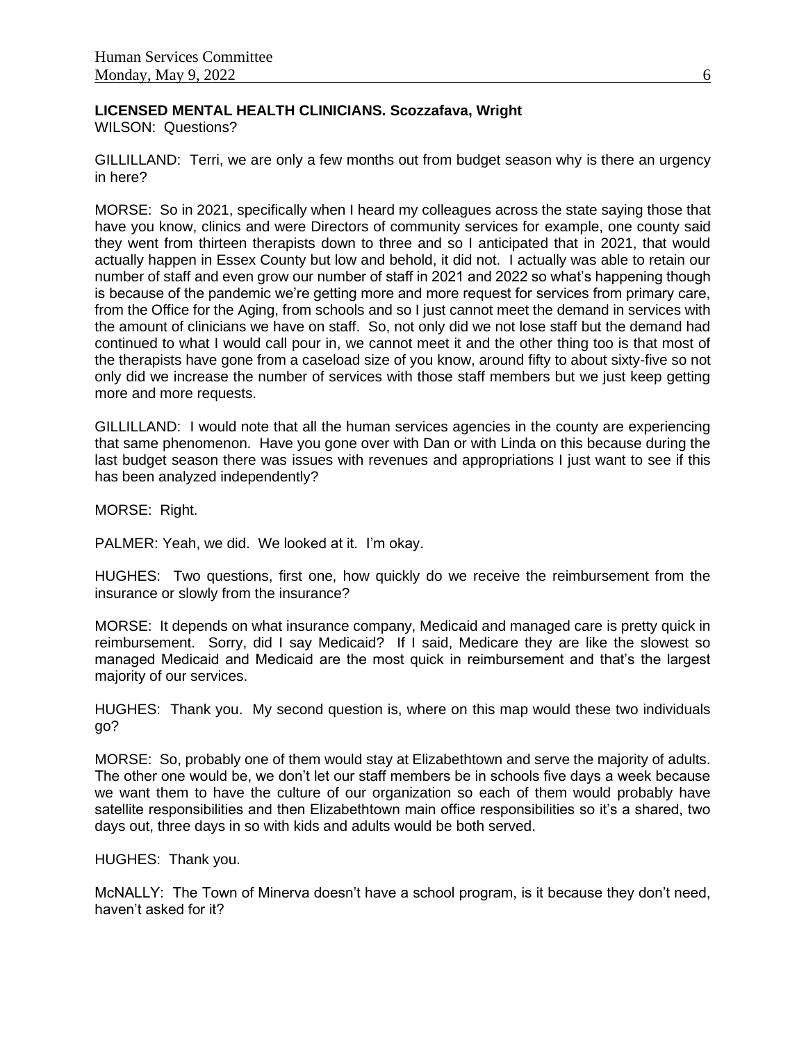# **LICENSED MENTAL HEALTH CLINICIANS. Scozzafava, Wright**

WILSON: Questions?

GILLILLAND: Terri, we are only a few months out from budget season why is there an urgency in here?

MORSE: So in 2021, specifically when I heard my colleagues across the state saying those that have you know, clinics and were Directors of community services for example, one county said they went from thirteen therapists down to three and so I anticipated that in 2021, that would actually happen in Essex County but low and behold, it did not. I actually was able to retain our number of staff and even grow our number of staff in 2021 and 2022 so what's happening though is because of the pandemic we're getting more and more request for services from primary care, from the Office for the Aging, from schools and so I just cannot meet the demand in services with the amount of clinicians we have on staff. So, not only did we not lose staff but the demand had continued to what I would call pour in, we cannot meet it and the other thing too is that most of the therapists have gone from a caseload size of you know, around fifty to about sixty-five so not only did we increase the number of services with those staff members but we just keep getting more and more requests.

GILLILLAND: I would note that all the human services agencies in the county are experiencing that same phenomenon. Have you gone over with Dan or with Linda on this because during the last budget season there was issues with revenues and appropriations I just want to see if this has been analyzed independently?

MORSE: Right.

PALMER: Yeah, we did. We looked at it. I'm okay.

HUGHES: Two questions, first one, how quickly do we receive the reimbursement from the insurance or slowly from the insurance?

MORSE: It depends on what insurance company, Medicaid and managed care is pretty quick in reimbursement. Sorry, did I say Medicaid? If I said, Medicare they are like the slowest so managed Medicaid and Medicaid are the most quick in reimbursement and that's the largest majority of our services.

HUGHES: Thank you. My second question is, where on this map would these two individuals go?

MORSE: So, probably one of them would stay at Elizabethtown and serve the majority of adults. The other one would be, we don't let our staff members be in schools five days a week because we want them to have the culture of our organization so each of them would probably have satellite responsibilities and then Elizabethtown main office responsibilities so it's a shared, two days out, three days in so with kids and adults would be both served.

HUGHES: Thank you.

McNALLY: The Town of Minerva doesn't have a school program, is it because they don't need, haven't asked for it?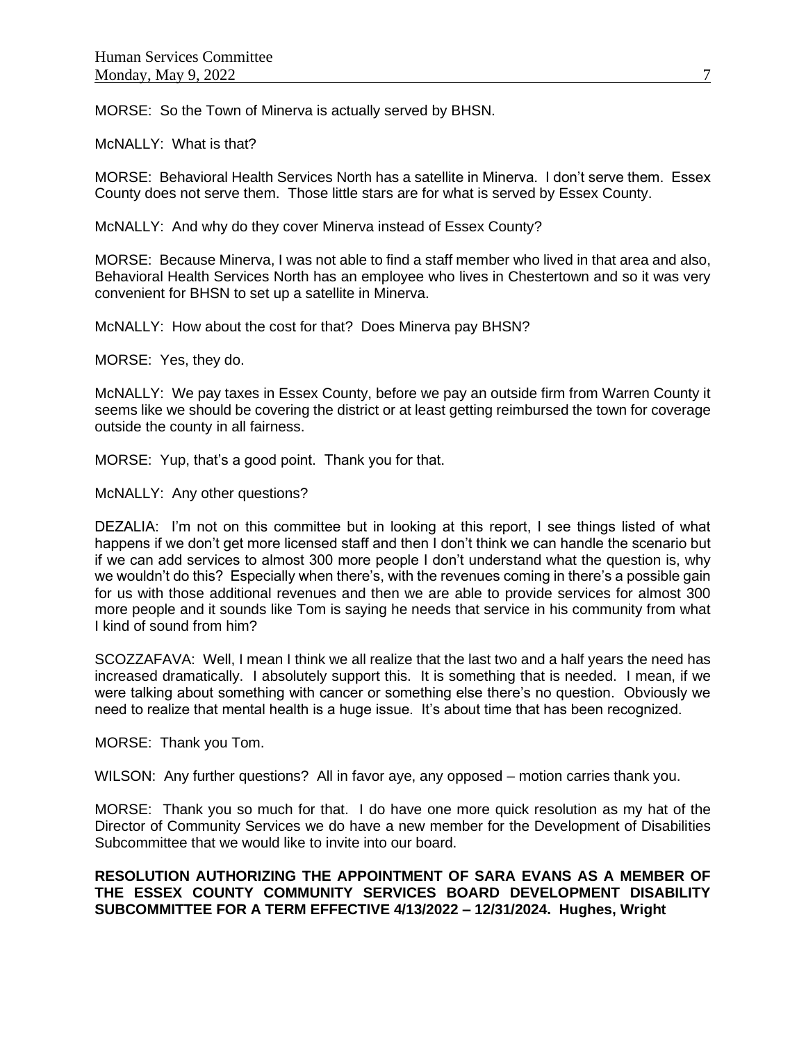MORSE: So the Town of Minerva is actually served by BHSN.

McNALLY: What is that?

MORSE: Behavioral Health Services North has a satellite in Minerva. I don't serve them. Essex County does not serve them. Those little stars are for what is served by Essex County.

McNALLY: And why do they cover Minerva instead of Essex County?

MORSE: Because Minerva, I was not able to find a staff member who lived in that area and also, Behavioral Health Services North has an employee who lives in Chestertown and so it was very convenient for BHSN to set up a satellite in Minerva.

McNALLY: How about the cost for that? Does Minerva pay BHSN?

MORSE: Yes, they do.

McNALLY: We pay taxes in Essex County, before we pay an outside firm from Warren County it seems like we should be covering the district or at least getting reimbursed the town for coverage outside the county in all fairness.

MORSE: Yup, that's a good point. Thank you for that.

McNALLY: Any other questions?

DEZALIA: I'm not on this committee but in looking at this report, I see things listed of what happens if we don't get more licensed staff and then I don't think we can handle the scenario but if we can add services to almost 300 more people I don't understand what the question is, why we wouldn't do this? Especially when there's, with the revenues coming in there's a possible gain for us with those additional revenues and then we are able to provide services for almost 300 more people and it sounds like Tom is saying he needs that service in his community from what I kind of sound from him?

SCOZZAFAVA: Well, I mean I think we all realize that the last two and a half years the need has increased dramatically. I absolutely support this. It is something that is needed. I mean, if we were talking about something with cancer or something else there's no question. Obviously we need to realize that mental health is a huge issue. It's about time that has been recognized.

MORSE: Thank you Tom.

WILSON: Any further questions? All in favor aye, any opposed – motion carries thank you.

MORSE: Thank you so much for that. I do have one more quick resolution as my hat of the Director of Community Services we do have a new member for the Development of Disabilities Subcommittee that we would like to invite into our board.

## **RESOLUTION AUTHORIZING THE APPOINTMENT OF SARA EVANS AS A MEMBER OF THE ESSEX COUNTY COMMUNITY SERVICES BOARD DEVELOPMENT DISABILITY SUBCOMMITTEE FOR A TERM EFFECTIVE 4/13/2022 – 12/31/2024. Hughes, Wright**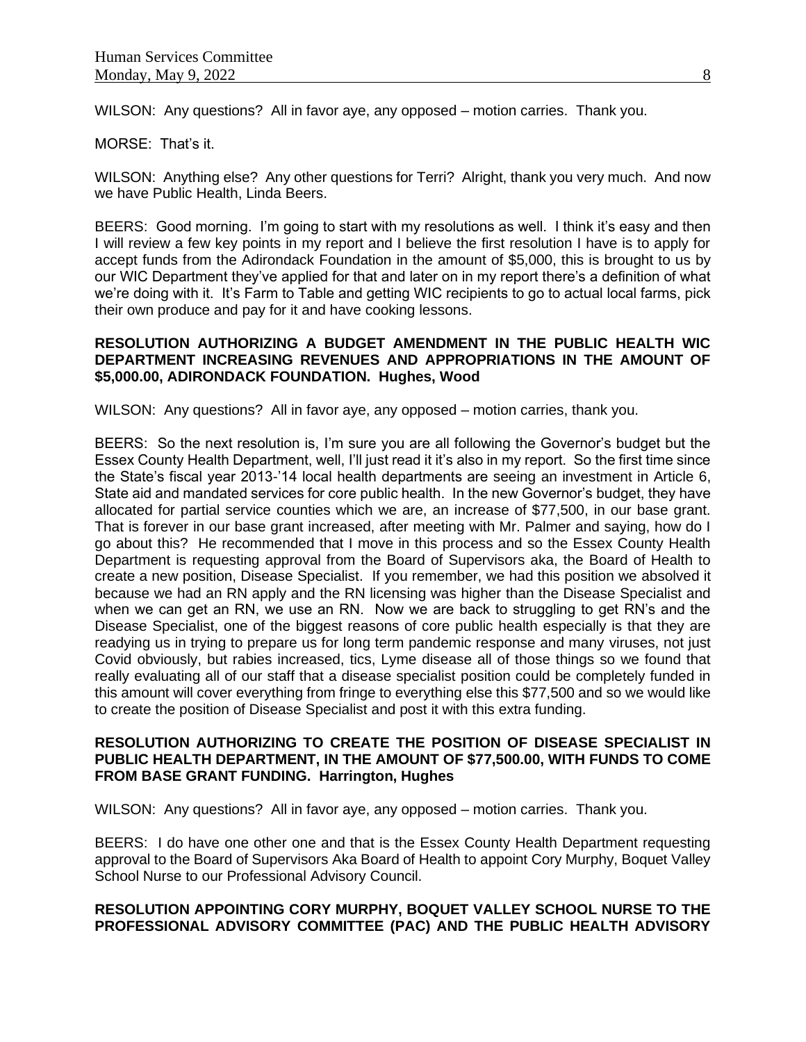WILSON: Any questions? All in favor aye, any opposed – motion carries. Thank you.

#### MORSE: That's it.

WILSON: Anything else? Any other questions for Terri? Alright, thank you very much. And now we have Public Health, Linda Beers.

BEERS: Good morning. I'm going to start with my resolutions as well. I think it's easy and then I will review a few key points in my report and I believe the first resolution I have is to apply for accept funds from the Adirondack Foundation in the amount of \$5,000, this is brought to us by our WIC Department they've applied for that and later on in my report there's a definition of what we're doing with it. It's Farm to Table and getting WIC recipients to go to actual local farms, pick their own produce and pay for it and have cooking lessons.

## **RESOLUTION AUTHORIZING A BUDGET AMENDMENT IN THE PUBLIC HEALTH WIC DEPARTMENT INCREASING REVENUES AND APPROPRIATIONS IN THE AMOUNT OF \$5,000.00, ADIRONDACK FOUNDATION. Hughes, Wood**

WILSON: Any questions? All in favor aye, any opposed – motion carries, thank you.

BEERS: So the next resolution is, I'm sure you are all following the Governor's budget but the Essex County Health Department, well, I'll just read it it's also in my report. So the first time since the State's fiscal year 2013-'14 local health departments are seeing an investment in Article 6, State aid and mandated services for core public health. In the new Governor's budget, they have allocated for partial service counties which we are, an increase of \$77,500, in our base grant. That is forever in our base grant increased, after meeting with Mr. Palmer and saying, how do I go about this? He recommended that I move in this process and so the Essex County Health Department is requesting approval from the Board of Supervisors aka, the Board of Health to create a new position, Disease Specialist. If you remember, we had this position we absolved it because we had an RN apply and the RN licensing was higher than the Disease Specialist and when we can get an RN, we use an RN. Now we are back to struggling to get RN's and the Disease Specialist, one of the biggest reasons of core public health especially is that they are readying us in trying to prepare us for long term pandemic response and many viruses, not just Covid obviously, but rabies increased, tics, Lyme disease all of those things so we found that really evaluating all of our staff that a disease specialist position could be completely funded in this amount will cover everything from fringe to everything else this \$77,500 and so we would like to create the position of Disease Specialist and post it with this extra funding.

#### **RESOLUTION AUTHORIZING TO CREATE THE POSITION OF DISEASE SPECIALIST IN PUBLIC HEALTH DEPARTMENT, IN THE AMOUNT OF \$77,500.00, WITH FUNDS TO COME FROM BASE GRANT FUNDING. Harrington, Hughes**

WILSON: Any questions? All in favor aye, any opposed – motion carries. Thank you.

BEERS: I do have one other one and that is the Essex County Health Department requesting approval to the Board of Supervisors Aka Board of Health to appoint Cory Murphy, Boquet Valley School Nurse to our Professional Advisory Council.

# **RESOLUTION APPOINTING CORY MURPHY, BOQUET VALLEY SCHOOL NURSE TO THE PROFESSIONAL ADVISORY COMMITTEE (PAC) AND THE PUBLIC HEALTH ADVISORY**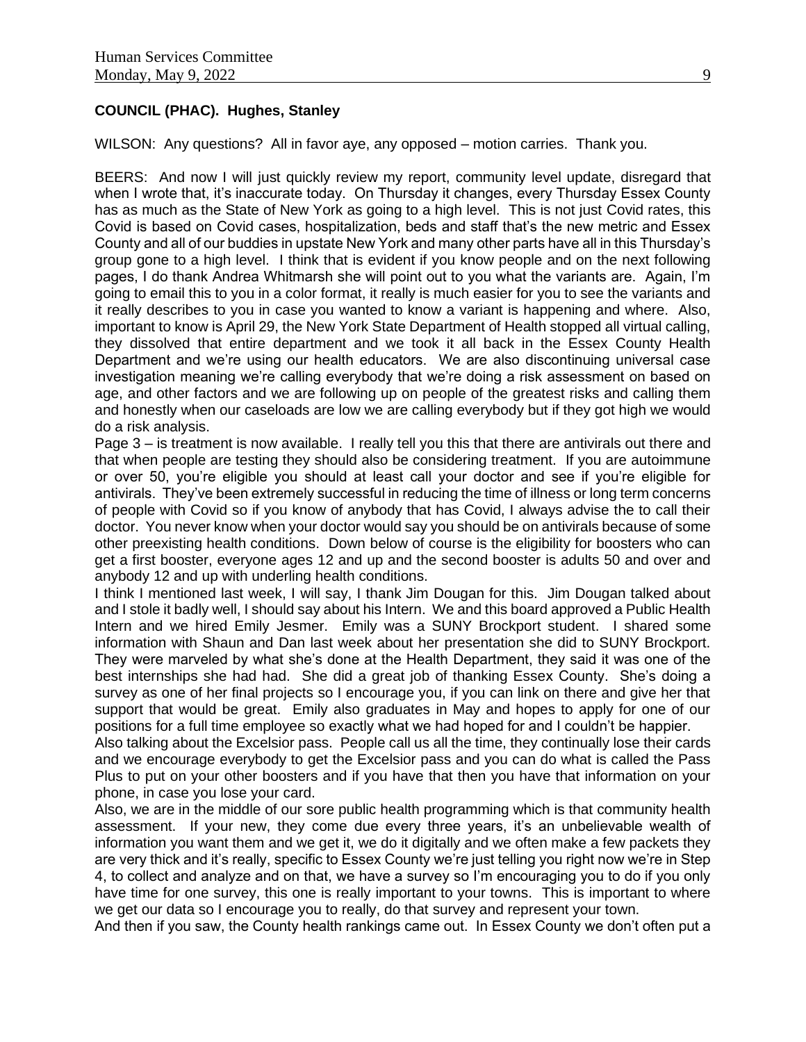# **COUNCIL (PHAC). Hughes, Stanley**

WILSON: Any questions? All in favor aye, any opposed – motion carries. Thank you.

BEERS: And now I will just quickly review my report, community level update, disregard that when I wrote that, it's inaccurate today. On Thursday it changes, every Thursday Essex County has as much as the State of New York as going to a high level. This is not just Covid rates, this Covid is based on Covid cases, hospitalization, beds and staff that's the new metric and Essex County and all of our buddies in upstate New York and many other parts have all in this Thursday's group gone to a high level. I think that is evident if you know people and on the next following pages, I do thank Andrea Whitmarsh she will point out to you what the variants are. Again, I'm going to email this to you in a color format, it really is much easier for you to see the variants and it really describes to you in case you wanted to know a variant is happening and where. Also, important to know is April 29, the New York State Department of Health stopped all virtual calling, they dissolved that entire department and we took it all back in the Essex County Health Department and we're using our health educators. We are also discontinuing universal case investigation meaning we're calling everybody that we're doing a risk assessment on based on age, and other factors and we are following up on people of the greatest risks and calling them and honestly when our caseloads are low we are calling everybody but if they got high we would do a risk analysis.

Page 3 – is treatment is now available. I really tell you this that there are antivirals out there and that when people are testing they should also be considering treatment. If you are autoimmune or over 50, you're eligible you should at least call your doctor and see if you're eligible for antivirals. They've been extremely successful in reducing the time of illness or long term concerns of people with Covid so if you know of anybody that has Covid, I always advise the to call their doctor. You never know when your doctor would say you should be on antivirals because of some other preexisting health conditions. Down below of course is the eligibility for boosters who can get a first booster, everyone ages 12 and up and the second booster is adults 50 and over and anybody 12 and up with underling health conditions.

I think I mentioned last week, I will say, I thank Jim Dougan for this. Jim Dougan talked about and I stole it badly well, I should say about his Intern. We and this board approved a Public Health Intern and we hired Emily Jesmer. Emily was a SUNY Brockport student. I shared some information with Shaun and Dan last week about her presentation she did to SUNY Brockport. They were marveled by what she's done at the Health Department, they said it was one of the best internships she had had. She did a great job of thanking Essex County. She's doing a survey as one of her final projects so I encourage you, if you can link on there and give her that support that would be great. Emily also graduates in May and hopes to apply for one of our positions for a full time employee so exactly what we had hoped for and I couldn't be happier.

Also talking about the Excelsior pass. People call us all the time, they continually lose their cards and we encourage everybody to get the Excelsior pass and you can do what is called the Pass Plus to put on your other boosters and if you have that then you have that information on your phone, in case you lose your card.

Also, we are in the middle of our sore public health programming which is that community health assessment. If your new, they come due every three years, it's an unbelievable wealth of information you want them and we get it, we do it digitally and we often make a few packets they are very thick and it's really, specific to Essex County we're just telling you right now we're in Step 4, to collect and analyze and on that, we have a survey so I'm encouraging you to do if you only have time for one survey, this one is really important to your towns. This is important to where we get our data so I encourage you to really, do that survey and represent your town.

And then if you saw, the County health rankings came out. In Essex County we don't often put a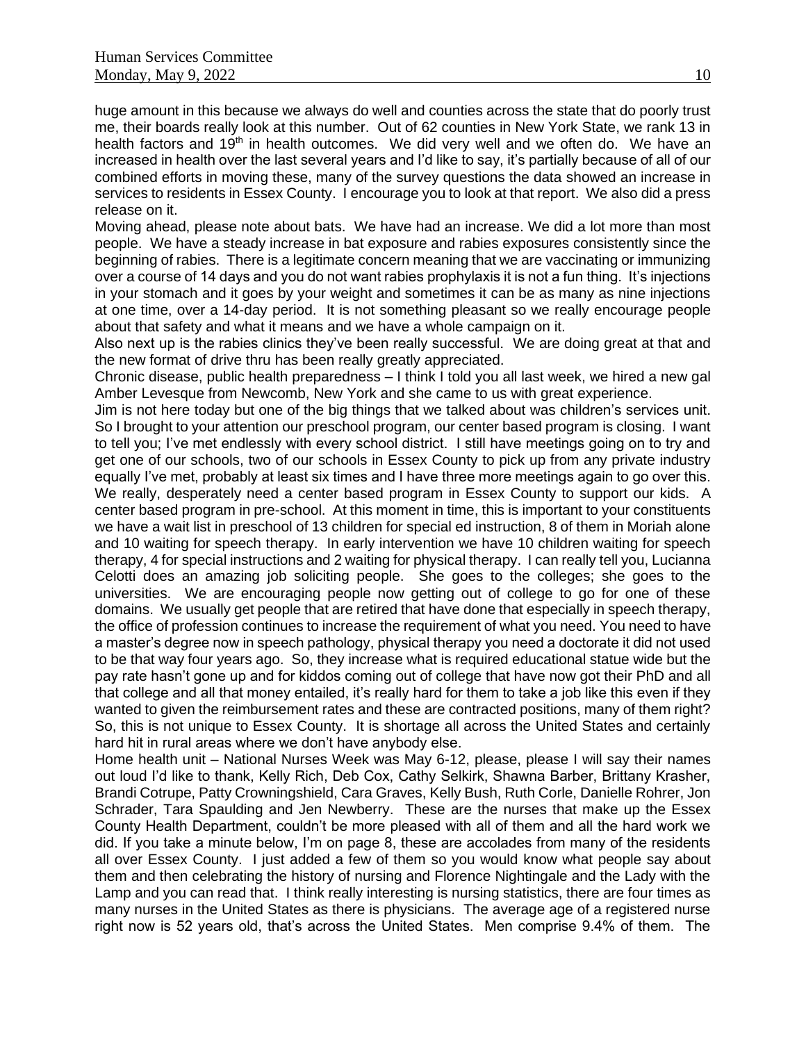huge amount in this because we always do well and counties across the state that do poorly trust me, their boards really look at this number. Out of 62 counties in New York State, we rank 13 in health factors and 19<sup>th</sup> in health outcomes. We did very well and we often do. We have an increased in health over the last several years and I'd like to say, it's partially because of all of our combined efforts in moving these, many of the survey questions the data showed an increase in services to residents in Essex County. I encourage you to look at that report. We also did a press release on it.

Moving ahead, please note about bats. We have had an increase. We did a lot more than most people. We have a steady increase in bat exposure and rabies exposures consistently since the beginning of rabies. There is a legitimate concern meaning that we are vaccinating or immunizing over a course of 14 days and you do not want rabies prophylaxis it is not a fun thing. It's injections in your stomach and it goes by your weight and sometimes it can be as many as nine injections at one time, over a 14-day period. It is not something pleasant so we really encourage people about that safety and what it means and we have a whole campaign on it.

Also next up is the rabies clinics they've been really successful. We are doing great at that and the new format of drive thru has been really greatly appreciated.

Chronic disease, public health preparedness – I think I told you all last week, we hired a new gal Amber Levesque from Newcomb, New York and she came to us with great experience.

Jim is not here today but one of the big things that we talked about was children's services unit. So I brought to your attention our preschool program, our center based program is closing. I want to tell you; I've met endlessly with every school district. I still have meetings going on to try and get one of our schools, two of our schools in Essex County to pick up from any private industry equally I've met, probably at least six times and I have three more meetings again to go over this. We really, desperately need a center based program in Essex County to support our kids. A center based program in pre-school. At this moment in time, this is important to your constituents we have a wait list in preschool of 13 children for special ed instruction, 8 of them in Moriah alone and 10 waiting for speech therapy. In early intervention we have 10 children waiting for speech therapy, 4 for special instructions and 2 waiting for physical therapy. I can really tell you, Lucianna Celotti does an amazing job soliciting people. She goes to the colleges; she goes to the universities. We are encouraging people now getting out of college to go for one of these domains. We usually get people that are retired that have done that especially in speech therapy, the office of profession continues to increase the requirement of what you need. You need to have a master's degree now in speech pathology, physical therapy you need a doctorate it did not used to be that way four years ago. So, they increase what is required educational statue wide but the pay rate hasn't gone up and for kiddos coming out of college that have now got their PhD and all that college and all that money entailed, it's really hard for them to take a job like this even if they wanted to given the reimbursement rates and these are contracted positions, many of them right? So, this is not unique to Essex County. It is shortage all across the United States and certainly hard hit in rural areas where we don't have anybody else.

Home health unit – National Nurses Week was May 6-12, please, please I will say their names out loud I'd like to thank, Kelly Rich, Deb Cox, Cathy Selkirk, Shawna Barber, Brittany Krasher, Brandi Cotrupe, Patty Crowningshield, Cara Graves, Kelly Bush, Ruth Corle, Danielle Rohrer, Jon Schrader, Tara Spaulding and Jen Newberry. These are the nurses that make up the Essex County Health Department, couldn't be more pleased with all of them and all the hard work we did. If you take a minute below, I'm on page 8, these are accolades from many of the residents all over Essex County. I just added a few of them so you would know what people say about them and then celebrating the history of nursing and Florence Nightingale and the Lady with the Lamp and you can read that. I think really interesting is nursing statistics, there are four times as many nurses in the United States as there is physicians. The average age of a registered nurse right now is 52 years old, that's across the United States. Men comprise 9.4% of them. The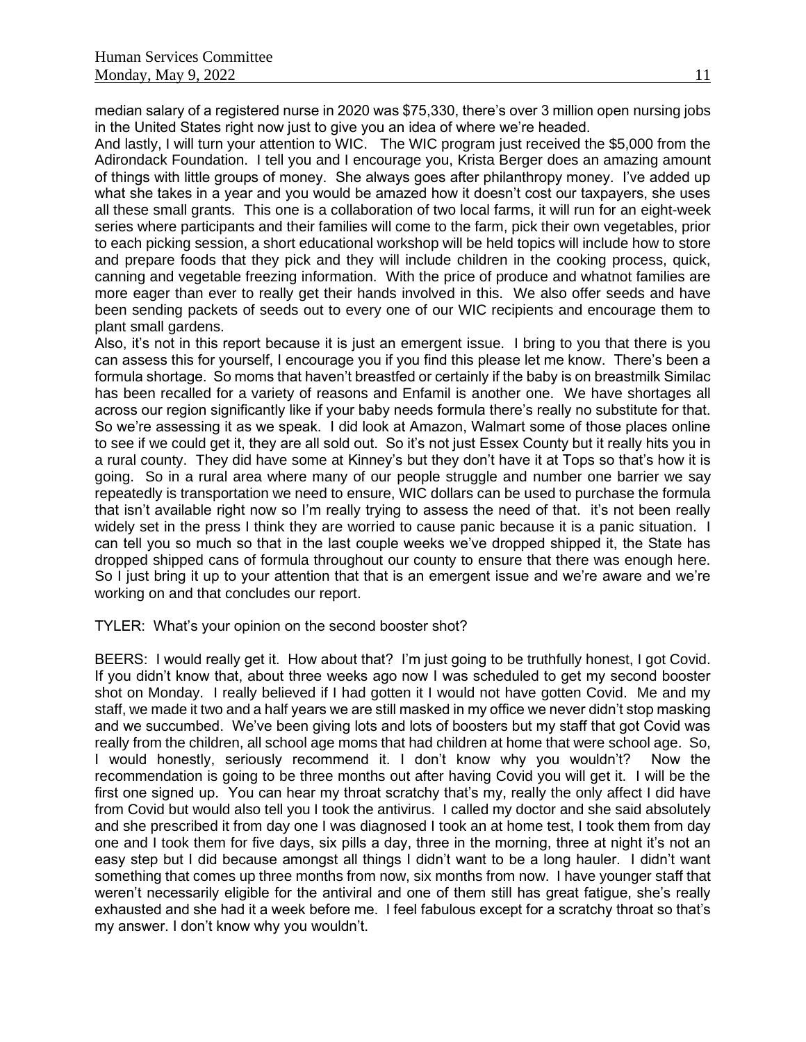median salary of a registered nurse in 2020 was \$75,330, there's over 3 million open nursing jobs in the United States right now just to give you an idea of where we're headed.

And lastly, I will turn your attention to WIC. The WIC program just received the \$5,000 from the Adirondack Foundation. I tell you and I encourage you, Krista Berger does an amazing amount of things with little groups of money. She always goes after philanthropy money. I've added up what she takes in a year and you would be amazed how it doesn't cost our taxpayers, she uses all these small grants. This one is a collaboration of two local farms, it will run for an eight-week series where participants and their families will come to the farm, pick their own vegetables, prior to each picking session, a short educational workshop will be held topics will include how to store and prepare foods that they pick and they will include children in the cooking process, quick, canning and vegetable freezing information. With the price of produce and whatnot families are more eager than ever to really get their hands involved in this. We also offer seeds and have been sending packets of seeds out to every one of our WIC recipients and encourage them to plant small gardens.

Also, it's not in this report because it is just an emergent issue. I bring to you that there is you can assess this for yourself, I encourage you if you find this please let me know. There's been a formula shortage. So moms that haven't breastfed or certainly if the baby is on breastmilk Similac has been recalled for a variety of reasons and Enfamil is another one. We have shortages all across our region significantly like if your baby needs formula there's really no substitute for that. So we're assessing it as we speak. I did look at Amazon, Walmart some of those places online to see if we could get it, they are all sold out. So it's not just Essex County but it really hits you in a rural county. They did have some at Kinney's but they don't have it at Tops so that's how it is going. So in a rural area where many of our people struggle and number one barrier we say repeatedly is transportation we need to ensure, WIC dollars can be used to purchase the formula that isn't available right now so I'm really trying to assess the need of that. it's not been really widely set in the press I think they are worried to cause panic because it is a panic situation. I can tell you so much so that in the last couple weeks we've dropped shipped it, the State has dropped shipped cans of formula throughout our county to ensure that there was enough here. So I just bring it up to your attention that that is an emergent issue and we're aware and we're working on and that concludes our report.

#### TYLER: What's your opinion on the second booster shot?

BEERS: I would really get it. How about that? I'm just going to be truthfully honest, I got Covid. If you didn't know that, about three weeks ago now I was scheduled to get my second booster shot on Monday. I really believed if I had gotten it I would not have gotten Covid. Me and my staff, we made it two and a half years we are still masked in my office we never didn't stop masking and we succumbed. We've been giving lots and lots of boosters but my staff that got Covid was really from the children, all school age moms that had children at home that were school age. So, I would honestly, seriously recommend it. I don't know why you wouldn't? Now the recommendation is going to be three months out after having Covid you will get it. I will be the first one signed up. You can hear my throat scratchy that's my, really the only affect I did have from Covid but would also tell you I took the antivirus. I called my doctor and she said absolutely and she prescribed it from day one I was diagnosed I took an at home test, I took them from day one and I took them for five days, six pills a day, three in the morning, three at night it's not an easy step but I did because amongst all things I didn't want to be a long hauler. I didn't want something that comes up three months from now, six months from now. I have younger staff that weren't necessarily eligible for the antiviral and one of them still has great fatigue, she's really exhausted and she had it a week before me. I feel fabulous except for a scratchy throat so that's my answer. I don't know why you wouldn't.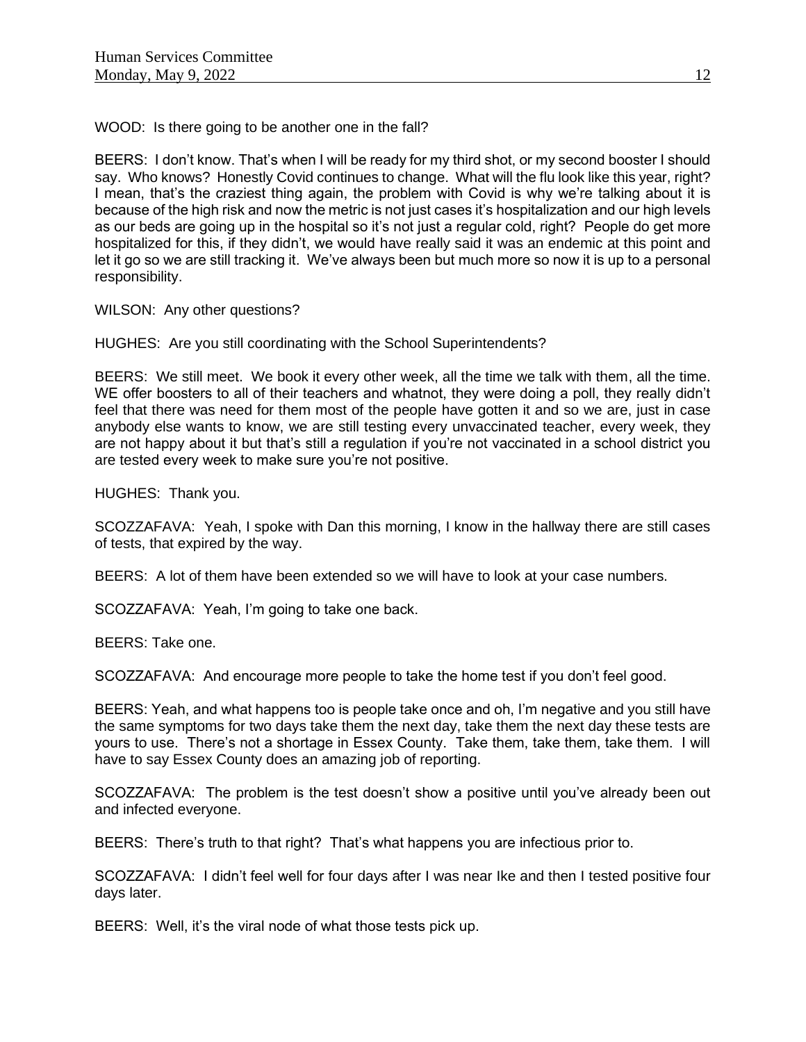WOOD: Is there going to be another one in the fall?

BEERS: I don't know. That's when I will be ready for my third shot, or my second booster I should say. Who knows? Honestly Covid continues to change. What will the flu look like this year, right? I mean, that's the craziest thing again, the problem with Covid is why we're talking about it is because of the high risk and now the metric is not just cases it's hospitalization and our high levels as our beds are going up in the hospital so it's not just a regular cold, right? People do get more hospitalized for this, if they didn't, we would have really said it was an endemic at this point and let it go so we are still tracking it. We've always been but much more so now it is up to a personal responsibility.

WILSON: Any other questions?

HUGHES: Are you still coordinating with the School Superintendents?

BEERS: We still meet. We book it every other week, all the time we talk with them, all the time. WE offer boosters to all of their teachers and whatnot, they were doing a poll, they really didn't feel that there was need for them most of the people have gotten it and so we are, just in case anybody else wants to know, we are still testing every unvaccinated teacher, every week, they are not happy about it but that's still a regulation if you're not vaccinated in a school district you are tested every week to make sure you're not positive.

HUGHES: Thank you.

SCOZZAFAVA: Yeah, I spoke with Dan this morning, I know in the hallway there are still cases of tests, that expired by the way.

BEERS: A lot of them have been extended so we will have to look at your case numbers.

SCOZZAFAVA: Yeah, I'm going to take one back.

BEERS: Take one.

SCOZZAFAVA: And encourage more people to take the home test if you don't feel good.

BEERS: Yeah, and what happens too is people take once and oh, I'm negative and you still have the same symptoms for two days take them the next day, take them the next day these tests are yours to use. There's not a shortage in Essex County. Take them, take them, take them. I will have to say Essex County does an amazing job of reporting.

SCOZZAFAVA: The problem is the test doesn't show a positive until you've already been out and infected everyone.

BEERS: There's truth to that right? That's what happens you are infectious prior to.

SCOZZAFAVA: I didn't feel well for four days after I was near Ike and then I tested positive four days later.

BEERS: Well, it's the viral node of what those tests pick up.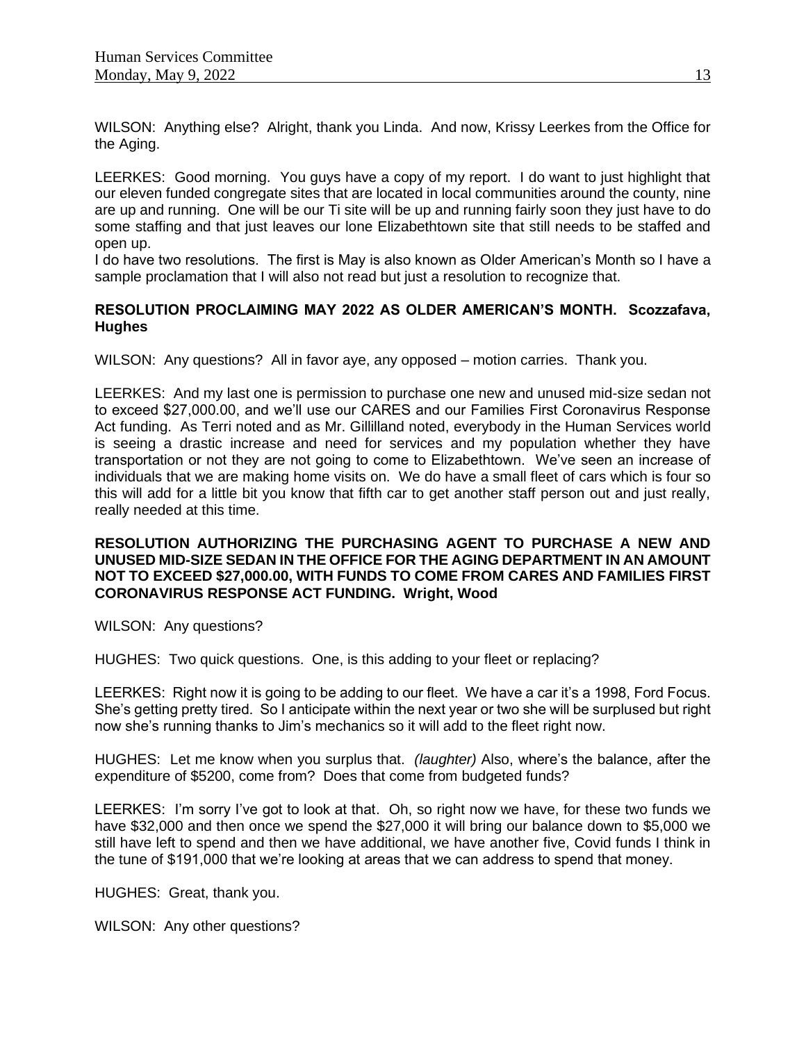WILSON: Anything else? Alright, thank you Linda. And now, Krissy Leerkes from the Office for the Aging.

LEERKES: Good morning. You guys have a copy of my report. I do want to just highlight that our eleven funded congregate sites that are located in local communities around the county, nine are up and running. One will be our Ti site will be up and running fairly soon they just have to do some staffing and that just leaves our lone Elizabethtown site that still needs to be staffed and open up.

I do have two resolutions. The first is May is also known as Older American's Month so I have a sample proclamation that I will also not read but just a resolution to recognize that.

# **RESOLUTION PROCLAIMING MAY 2022 AS OLDER AMERICAN'S MONTH. Scozzafava, Hughes**

WILSON: Any questions? All in favor aye, any opposed – motion carries. Thank you.

LEERKES: And my last one is permission to purchase one new and unused mid-size sedan not to exceed \$27,000.00, and we'll use our CARES and our Families First Coronavirus Response Act funding. As Terri noted and as Mr. Gillilland noted, everybody in the Human Services world is seeing a drastic increase and need for services and my population whether they have transportation or not they are not going to come to Elizabethtown. We've seen an increase of individuals that we are making home visits on. We do have a small fleet of cars which is four so this will add for a little bit you know that fifth car to get another staff person out and just really, really needed at this time.

## **RESOLUTION AUTHORIZING THE PURCHASING AGENT TO PURCHASE A NEW AND UNUSED MID-SIZE SEDAN IN THE OFFICE FOR THE AGING DEPARTMENT IN AN AMOUNT NOT TO EXCEED \$27,000.00, WITH FUNDS TO COME FROM CARES AND FAMILIES FIRST CORONAVIRUS RESPONSE ACT FUNDING. Wright, Wood**

WILSON: Any questions?

HUGHES: Two quick questions. One, is this adding to your fleet or replacing?

LEERKES: Right now it is going to be adding to our fleet. We have a car it's a 1998, Ford Focus. She's getting pretty tired. So I anticipate within the next year or two she will be surplused but right now she's running thanks to Jim's mechanics so it will add to the fleet right now.

HUGHES: Let me know when you surplus that. *(laughter)* Also, where's the balance, after the expenditure of \$5200, come from? Does that come from budgeted funds?

LEERKES: I'm sorry I've got to look at that. Oh, so right now we have, for these two funds we have \$32,000 and then once we spend the \$27,000 it will bring our balance down to \$5,000 we still have left to spend and then we have additional, we have another five, Covid funds I think in the tune of \$191,000 that we're looking at areas that we can address to spend that money.

HUGHES: Great, thank you.

WILSON: Any other questions?